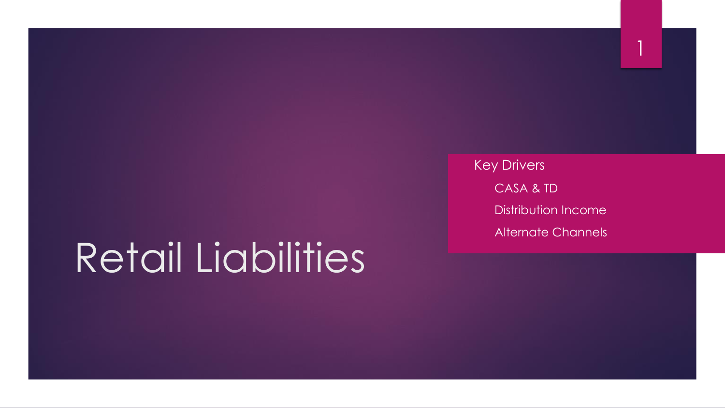# Retail Liabilities

 Key Drivers • CASA & TD • Distribution Income • Alternate Channels 1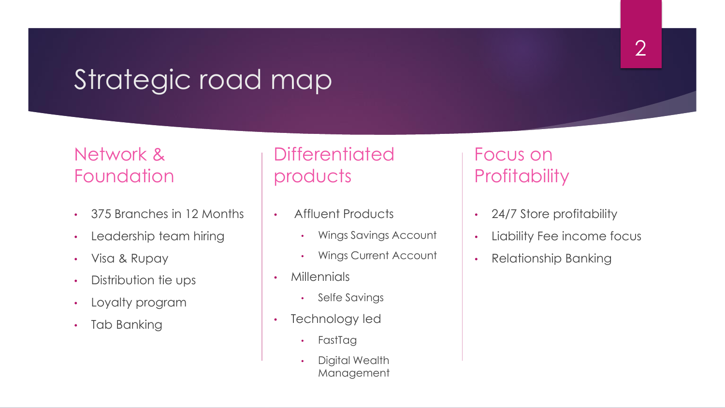### Strategic road map

#### Network & **Foundation**

- 375 Branches in 12 Months
- Leadership team hiring
- Visa & Rupay
- Distribution tie ups
- Loyalty program
- Tab Banking

### **Differentiated** products

- Affluent Products
	- Wings Savings Account
	- Wings Current Account
- Millennials
	- Selfe Savings
- Technology led
	- FastTag
	- Digital Wealth Management

#### Focus on **Profitability**

- 24/7 Store profitability
- Liability Fee income focus
- Relationship Banking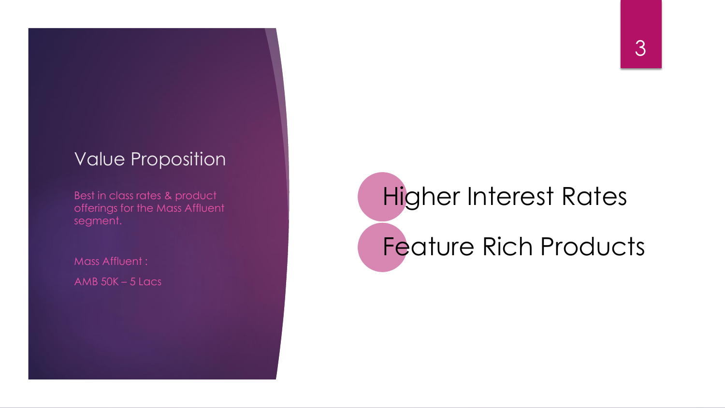#### Value Proposition

Best in class rates & product offerings for the Mass Affluent segment.

Mass Affluent : AMB  $50K - 5$  Lacs Higher Interest Rates Feature Rich Products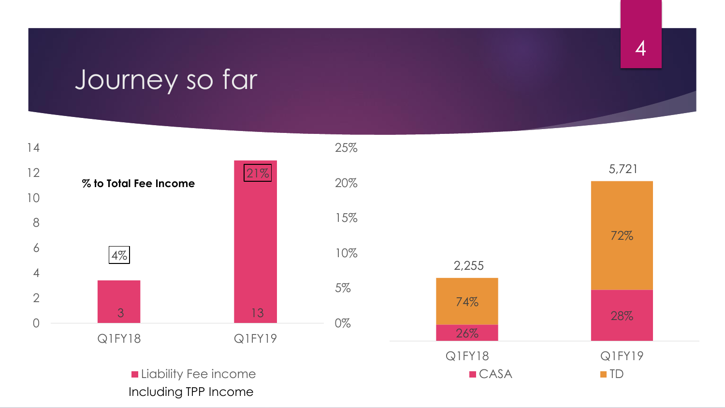### Journey so far



4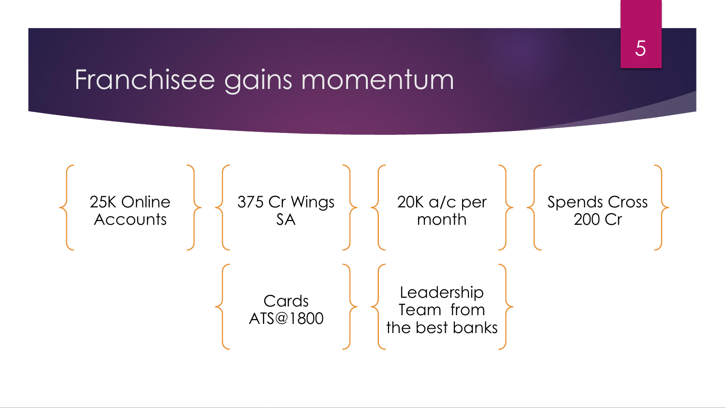### Franchisee gains momentum



5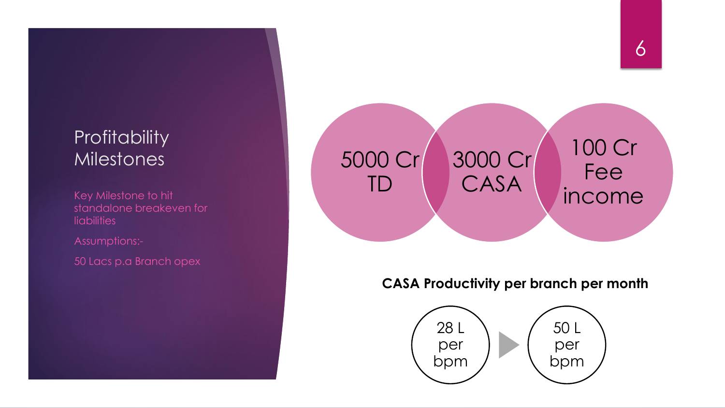### **Profitability** Milestones 1999 - SOOO Cr

**liabilities** 

Assumptions:-

50 Lacs p.a Branch opex

#### TD 3000 Cr CASA 100 Cr Fee Key Milestone to hit<br>standalone breakeven for the standalone breakeven for

#### **CASA Productivity per branch per month**

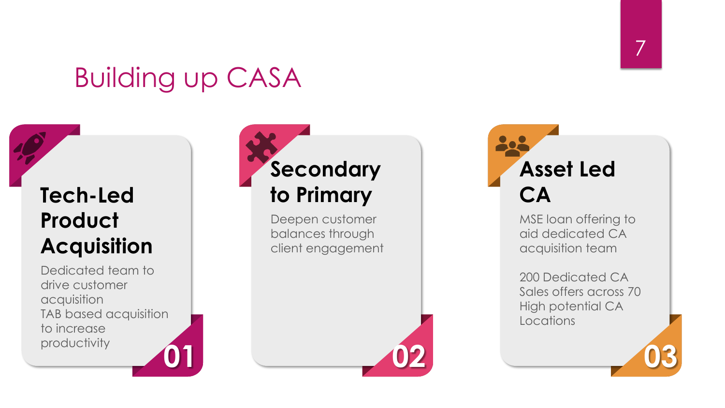### Building up CASA

### **Tech-Led Product Acquisition**

**01 02 03** Dedicated team to drive customer acquisition TAB based acquisition to increase productivity

## **Secondary to Primary**

Deepen customer balances through client engagement Đ **Asset Led CA**

> MSE loan offering to aid dedicated CA acquisition team

200 Dedicated CA Sales offers across 70 High potential CA Locations